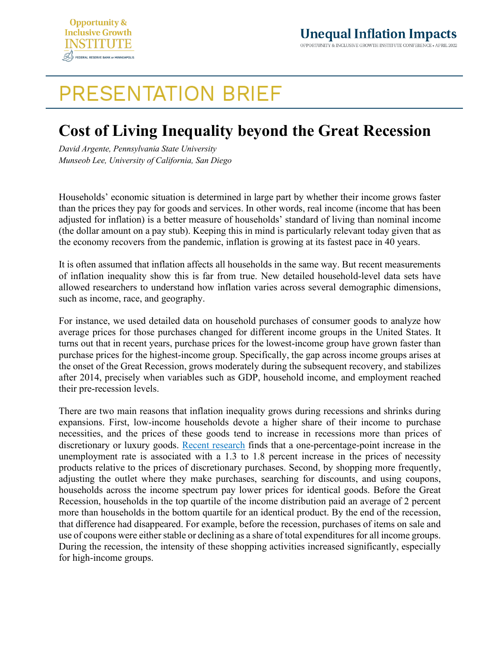

## **PRESENTATION BRIEF**

## **Cost of Living Inequality beyond the Great Recession**

*David Argente, Pennsylvania State University Munseob Lee, University of California, San Diego*

Households' economic situation is determined in large part by whether their income grows faster than the prices they pay for goods and services. In other words, real income (income that has been adjusted for inflation) is a better measure of households' standard of living than nominal income (the dollar amount on a pay stub). Keeping this in mind is particularly relevant today given that as the economy recovers from the pandemic, inflation is growing at its fastest pace in 40 years.

It is often assumed that inflation affects all households in the same way. But recent measurements of inflation inequality show this is far from true. New detailed household-level data sets have allowed researchers to understand how inflation varies across several demographic dimensions, such as income, race, and geography.

For instance, we used detailed data on household purchases of consumer goods to analyze how average prices for those purchases changed for different income groups in the United States. It turns out that in recent years, purchase prices for the lowest-income group have grown faster than purchase prices for the highest-income group. Specifically, the gap across income groups arises at the onset of the Great Recession, grows moderately during the subsequent recovery, and stabilizes after 2014, precisely when variables such as GDP, household income, and employment reached their pre-recession levels.

There are two main reasons that inflation inequality grows during recessions and shrinks during expansions. First, low-income households devote a higher share of their income to purchase necessities, and the prices of these goods tend to increase in recessions more than prices of discretionary or luxury goods. [Recent research](https://equitablegrowth.org/working-papers/cyclical-demand-shifts-and-cost-of-living-inequality/) finds that a one-percentage-point increase in the unemployment rate is associated with a 1.3 to 1.8 percent increase in the prices of necessity products relative to the prices of discretionary purchases. Second, by shopping more frequently, adjusting the outlet where they make purchases, searching for discounts, and using coupons, households across the income spectrum pay lower prices for identical goods. Before the Great Recession, households in the top quartile of the income distribution paid an average of 2 percent more than households in the bottom quartile for an identical product. By the end of the recession, that difference had disappeared. For example, before the recession, purchases of items on sale and use of coupons were either stable or declining as a share of total expenditures for all income groups. During the recession, the intensity of these shopping activities increased significantly, especially for high-income groups.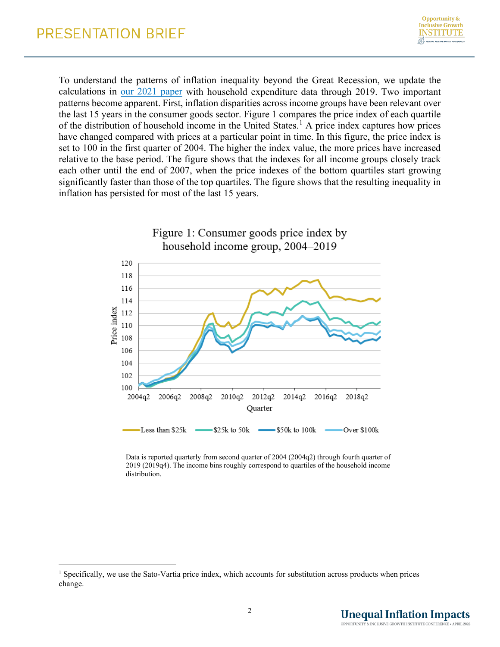To understand the patterns of inflation inequality beyond the Great Recession, we update the calculations in [our 2021 paper](https://papers.ssrn.com/sol3/papers.cfm?abstract_id=2567357) with household expenditure data through 2019. Two important patterns become apparent. First, inflation disparities across income groups have been relevant over the last 15 years in the consumer goods sector. Figure 1 compares the price index of each quartile of the distribution of household income in the United States.<sup>[1](#page-1-0)</sup> A price index captures how prices have changed compared with prices at a particular point in time. In this figure, the price index is set to 100 in the first quarter of 2004. The higher the index value, the more prices have increased relative to the base period. The figure shows that the indexes for all income groups closely track each other until the end of 2007, when the price indexes of the bottom quartiles start growing significantly faster than those of the top quartiles. The figure shows that the resulting inequality in inflation has persisted for most of the last 15 years.



Data is reported quarterly from second quarter of 2004 (2004q2) through fourth quarter of 2019 (2019q4). The income bins roughly correspond to quartiles of the household income distribution.

<span id="page-1-0"></span><sup>&</sup>lt;sup>1</sup> Specifically, we use the Sato-Vartia price index, which accounts for substitution across products when prices change.